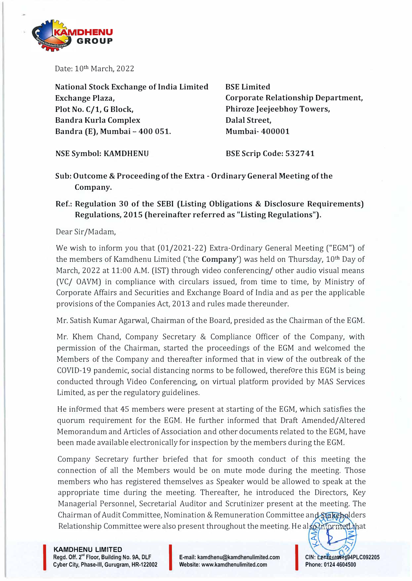

Date: 10th March, 2022

**National Stock Exchange of India Limited Exchange Plaza, Plot No. C/1, G Block, Bandra Kurla Complex Bandra (E), Mumbai- 400 051.** 

**BSE Limited Corporate Relationship Department, Phiroze Jeejeebhoy Towers, Dalal Street, Mumbai- 400001** 

**NSE Symbol: KAMDHENU** 

**BSE Scrip Code: 532741** 

**Sub: Outcome & Proceeding of the Extra - Ordinary General Meeting of the Company.** 

## **Ref.: Regulation 30 of the SEBI (Listing Obligations & Disclosure Requirements) Regulations, 2015 (hereinafter referred as "Listing Regulations").**

Dear Sir /Madam,

We wish to inform you that (01/2021-22) Extra-Ordinary General Meeting ("EGM") of the members of Kamdhenu Limited ('the **Company')** was held on Thursday, 10th Day of March, 2022 at 11:00 A.M. (1ST) through video conferencing/ other audio visual means (VC/ OAVM) in compliance with circulars issued, from time to time, by Ministry of Corporate Affairs and Securities and Exchange Board of India and as per the applicable provisions of the Companies Act, 2013 and rules made thereunder.

Mr. Satish Kumar Agarwal, Chairman of the Board, presided as the Chairman of the EGM.

Mr. Khem Chand, Company Secretary & Compliance Officer of the Company, with permission of the Chairman, started the proceedings of the EGM and welcomed the Members of the Company and thereafter informed that in view of the outbreak of the COVID-19 pandemic, social distancing norms to be followed, therefore this EGM is being conducted through Video Conferencing, on virtual platform provided by MAS Services Limited, as per the regulatory guidelines.

He informed that 45 members were present at starting of the EGM, which satisfies the quorum requirement for the EGM. He further informed that Draft Amended/ Altered Memorandum and Articles of Association and other documents related to the EGM, have been made available electronically for inspection by the members during the EGM.

Company Secretary further briefed that for smooth conduct of this meeting the connection of all the Members would be on mute mode during the meeting. Those members who has registered themselves as Speaker would be allowed to speak at the appropriate time during the meeting. Thereafter, he introduced the Directors, Key Managerial Personnel, Secretarial Auditor and Scrutinizer present at the meeting. The Chairman of Audit Committee, Nomination & Remuneration Committee and Stakeholders Relationship Committee were also present throughout the meeting. He also informed that

**KAMDHENU LIMITED Regd. Off. 2"' Floor, Building No. 9A, DLF KAMDHENU LIMITED<br>Regd. Off. 2<sup>nd</sup> Floor, Building No. 9A, DLF<br>Cyber City, Phase-III, Gurugram, HR-122002** 

I

**E-mail: kamdhenu@kamdhenulimited.com Website: www.kamdhenulimited.com**

CIN: **L27401HR1994F**<br>Phone: 0124 4604500 **CIN: �, ..... w..u.J. .... <sup>I</sup>94PLC092205 Phone: 0124 4604500** 

*a:.*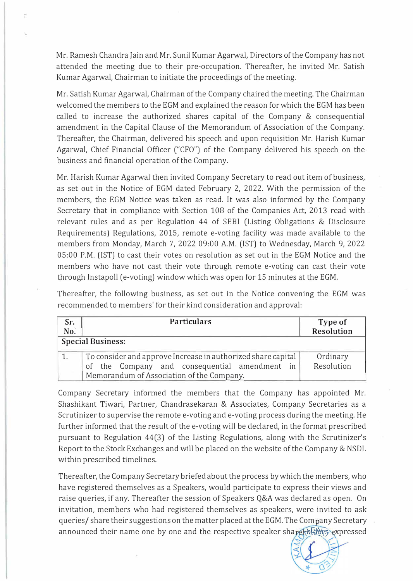Mr. Ramesh Chandra Jain and Mr. Sunil Kumar Agarwal, Directors of the Company has not attended the meeting due to their pre-occupation. Thereafter, he invited Mr. Satish Kumar Agarwal, Chairman to initiate the proceedings of the meeting.

Mr. Satish Kumar Agarwal, Chairman of the Company chaired the meeting. The Chairman welcomed the members to the EGM and explained the reason for which the EGM has been called to increase the authorized shares capital of the Company & consequential amendment in the Capital Clause of the Memorandum of Association of the Company. Thereafter, the Chairman, delivered his speech and upon requisition Mr. Harish Kumar Agarwal, Chief Financial Officer ("CFO") of the Company delivered his speech on the business and financial operation of the Company.

Mr. Harish Kumar Agarwal then invited Company Secretary to read out item of business, as set out in the Notice of EGM dated February 2, 2022. With the permission of the members, the EGM Notice was taken as read. It was also informed by the Company Secretary that in compliance with Section 108 of the Companies Act, 2013 read with relevant rules and as per Regulation 44 of SEBI (Listing Obligations & Disclosure Requirements) Regulations, 2015, remote e-voting facility was made available to the members from Monday, March 7, 2022 09:00 A.M. (IST) to Wednesday, March 9, 2022 05:00 P.M. (1ST) to cast their votes on resolution as set out in the EGM Notice and the members who have not cast their vote through remote e-voting can cast their vote through Instapoll (e-voting) window which was open for 15 minutes at the EGM.

Thereafter, the following business, as set out in the Notice convening the EGM was recommended to members' for their kind consideration and approval:

| Sr.<br>No <sub>i</sub>   | <b>Particulars</b>                                           | Type of<br>Resolution |
|--------------------------|--------------------------------------------------------------|-----------------------|
| <b>Special Business:</b> |                                                              |                       |
|                          | To consider and approve Increase in authorized share capital | Ordinary              |
|                          | of the Company and consequential amendment in                | Resolution            |
|                          | Memorandum of Association of the Company.                    |                       |

Company Secretary informed the members that the Company has appointed Mr. Shashikant Tiwari, Partner, Chandrasekaran & Associates, Company Secretaries as a Scrutinizer to supervise the remote e-voting and e-voting process during the meeting. He further informed that the result of the e-voting will be declared, in the format prescribed pursuant to Regulation 44(3) of the Listing Regulations, along with the Scrutinizer's Report to the Stock Exchanges and will be placed on the website of the Company & NSDL within prescribed timelines.

Thereafter, the Company Secretary briefed about the process by which the members, who have registered themselves as a Speakers, would participate to express their views and raise queries, if any. Thereafter the session of Speakers Q&A was declared as open. On invitation, members who had registered themselves as speakers, were invited to ask queries/ share their suggestions on the matter placed at the EGM. The Company Secretary announced their name one by one and the respective speaker sharehotdays expressed

 $\leq$  (  $\leq$  $\leq$ *--j,*